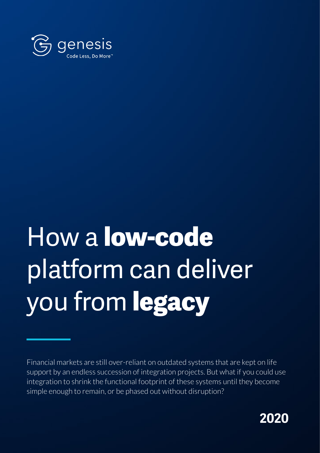

# How a **low-code** platform can deliver you from **legacy**

Financial markets are still over-reliant on outdated systems that are kept on life support by an endless succession of integration projects. But what if you could use integration to shrink the functional footprint of these systems until they become simple enough to remain, or be phased out without disruption?

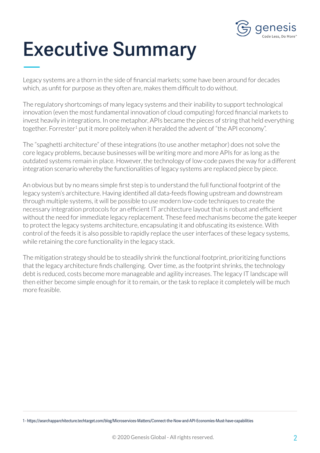

## **Executive Summary**

Legacy systems are a thorn in the side of financial markets; some have been around for decades which, as unfit for purpose as they often are, makes them difficult to do without.

The regulatory shortcomings of many legacy systems and their inability to support technological innovation (even the most fundamental innovation of cloud computing) forced financial markets to invest heavily in integrations. In one metaphor, APIs became the pieces of string that held everything together. Forrester<sup>1</sup> put it more politely when it heralded the advent of "the API economy".

The "spaghetti architecture" of these integrations (to use another metaphor) does not solve the core legacy problems, because businesses will be writing more and more APIs for as long as the outdated systems remain in place. However, the technology of low-code paves the way for a different integration scenario whereby the functionalities of legacy systems are replaced piece by piece.

An obvious but by no means simple first step is to understand the full functional footprint of the legacy system's architecture. Having identified all data-feeds flowing upstream and downstream through multiple systems, it will be possible to use modern low-code techniques to create the necessary integration protocols for an efficient IT architecture layout that is robust and efficient without the need for immediate legacy replacement. These feed mechanisms become the gate keeper to protect the legacy systems architecture, encapsulating it and obfuscating its existence. With control of the feeds it is also possible to rapidly replace the user interfaces of these legacy systems, while retaining the core functionality in the legacy stack.

The mitigation strategy should be to steadily shrink the functional footprint, prioritizing functions that the legacy architecture finds challenging. Over time, as the footprint shrinks, the technology debt is reduced, costs become more manageable and agility increases. The legacy IT landscape will then either become simple enough for it to remain, or the task to replace it completely will be much more feasible.

1 - https://searchapparchitecture.techtarget.com/blog/Microservices-Matters/Connect-the-Now-and-API-Economies-Must-have-capabilities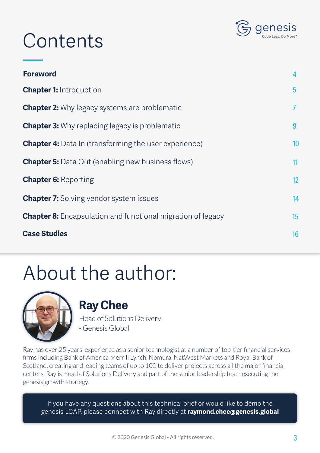

#### **Contents**

| <b>Foreword</b>                                                    | 4               |
|--------------------------------------------------------------------|-----------------|
| <b>Chapter 1: Introduction</b>                                     | $5\phantom{.0}$ |
| <b>Chapter 2:</b> Why legacy systems are problematic               | $\overline{7}$  |
| <b>Chapter 3:</b> Why replacing legacy is problematic              | 9               |
| <b>Chapter 4:</b> Data In (transforming the user experience)       | 10              |
| <b>Chapter 5:</b> Data Out (enabling new business flows)           | 11              |
| <b>Chapter 6: Reporting</b>                                        | 12              |
| <b>Chapter 7:</b> Solving vendor system issues                     | 14              |
| <b>Chapter 8:</b> Encapsulation and functional migration of legacy | 15              |
| <b>Case Studies</b>                                                | 16              |
|                                                                    |                 |

#### About the author:



#### **Ray Chee**

Head of Solutions Delivery - Genesis Global

Ray has over 25 years' experience as a senior technologist at a number of top-tier financial services firms including Bank of America Merrill Lynch, Nomura, NatWest Markets and Royal Bank of Scotland, creating and leading teams of up to 100 to deliver projects across all the major financial centers. Ray is Head of Solutions Delivery and part of the senior leadership team executing the genesis growth strategy.

If you have any questions about this technical brief or would like to demo the genesis LCAP, please connect with Ray directly at **raymond.chee@genesis.global**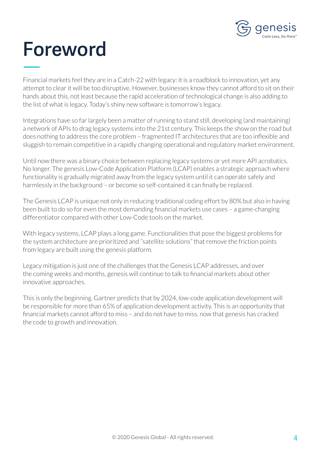

#### **Foreword**

Financial markets feel they are in a Catch-22 with legacy: it is a roadblock to innovation, yet any attempt to clear it will be too disruptive. However, businesses know they cannot afford to sit on their hands about this, not least because the rapid acceleration of technological change is also adding to the list of what is legacy. Today's shiny new software is tomorrow's legacy.

Integrations have so far largely been a matter of running to stand still, developing (and maintaining) a network of APIs to drag legacy systems into the 21st century. This keeps the show on the road but does nothing to address the core problem – fragmented IT architectures that are too inflexible and sluggish to remain competitive in a rapidly changing operational and regulatory market environment.

Until now there was a binary choice between replacing legacy systems or yet more API acrobatics. No longer. The genesis Low-Code Application Platform (LCAP) enables a strategic approach where functionality is gradually migrated away from the legacy system until it can operate safely and harmlessly in the background – or become so self-contained it can finally be replaced.

The Genesis LCAP is unique not only in reducing traditional coding effort by 80% but also in having been built to do so for even the most demanding financial markets use cases – a game-changing differentiator compared with other Low-Code tools on the market.

With legacy systems, LCAP plays a long game. Functionalities that pose the biggest problems for the system architecture are prioritized and "satellite solutions" that remove the friction points from legacy are built using the genesis platform.

Legacy mitigation is just one of the challenges that the Genesis LCAP addresses, and over the coming weeks and months, genesis will continue to talk to financial markets about other innovative approaches.

This is only the beginning. Gartner predicts that by 2024, low-code application development will be responsible for more than 65% of application development activity. This is an opportunity that financial markets cannot afford to miss – and do not have to miss, now that genesis has cracked the code to growth and innovation.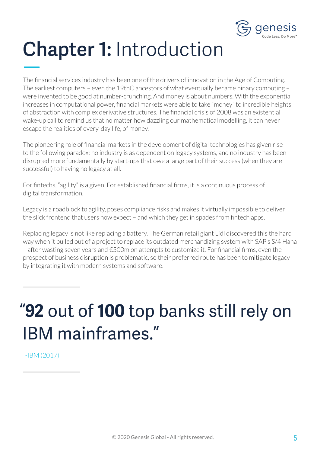

### **Chapter 1:** Introduction

The financial services industry has been one of the drivers of innovation in the Age of Computing. The earliest computers – even the 19thC ancestors of what eventually became binary computing – were invented to be good at number-crunching. And money is about numbers. With the exponential increases in computational power, financial markets were able to take "money" to incredible heights of abstraction with complex derivative structures. The financial crisis of 2008 was an existential wake-up call to remind us that no matter how dazzling our mathematical modelling, it can never escape the realities of every-day life, of money.

The pioneering role of financial markets in the development of digital technologies has given rise to the following paradox: no industry is as dependent on legacy systems, and no industry has been disrupted more fundamentally by start-ups that owe a large part of their success (when they are successful) to having no legacy at all.

For fintechs, "agility" is a given. For established financial firms, it is a continuous process of digital transformation.

Legacy is a roadblock to agility, poses compliance risks and makes it virtually impossible to deliver the slick frontend that users now expect – and which they get in spades from fintech apps.

Replacing legacy is not like replacing a battery. The German retail giant Lidl discovered this the hard way when it pulled out of a project to replace its outdated merchandizing system with SAP's S/4 Hana – after wasting seven years and €500m on attempts to customize it. For financial firms, even the prospect of business disruption is problematic, so their preferred route has been to mitigate legacy by integrating it with modern systems and software.

#### "**92** out of **100** top banks still rely on IBM mainframes."

-IBM (2017)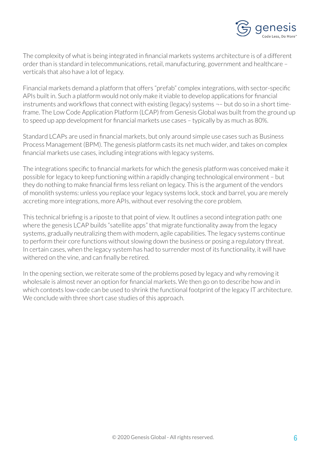

The complexity of what is being integrated in financial markets systems architecture is of a different order than is standard in telecommunications, retail, manufacturing, government and healthcare – verticals that also have a lot of legacy.

Financial markets demand a platform that offers "prefab" complex integrations, with sector-specific APIs built in. Such a platform would not only make it viable to develop applications for financial instruments and workflows that connect with existing (legacy) systems ¬– but do so in a short timeframe. The Low Code Application Platform (LCAP) from Genesis Global was built from the ground up to speed up app development for financial markets use cases – typically by as much as 80%.

Standard LCAPs are used in financial markets, but only around simple use cases such as Business Process Management (BPM). The genesis platform casts its net much wider, and takes on complex financial markets use cases, including integrations with legacy systems.

The integrations specific to financial markets for which the genesis platform was conceived make it possible for legacy to keep functioning within a rapidly changing technological environment – but they do nothing to make financial firms less reliant on legacy. This is the argument of the vendors of monolith systems: unless you replace your legacy systems lock, stock and barrel, you are merely accreting more integrations, more APIs, without ever resolving the core problem.

This technical briefing is a riposte to that point of view. It outlines a second integration path: one where the genesis LCAP builds "satellite apps" that migrate functionality away from the legacy systems, gradually neutralizing them with modern, agile capabilities. The legacy systems continue to perform their core functions without slowing down the business or posing a regulatory threat. In certain cases, when the legacy system has had to surrender most of its functionality, it will have withered on the vine, and can finally be retired.

In the opening section, we reiterate some of the problems posed by legacy and why removing it wholesale is almost never an option for financial markets. We then go on to describe how and in which contexts low-code can be used to shrink the functional footprint of the legacy IT architecture. We conclude with three short case studies of this approach.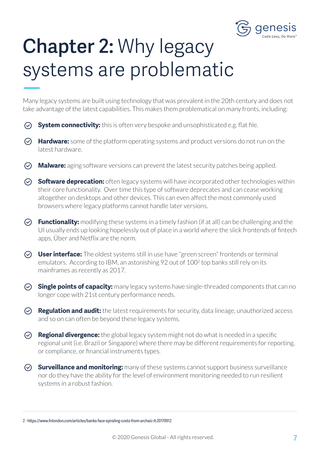

# **Chapter 2:** Why legacy systems are problematic

Many legacy systems are built using technology that was prevalent in the 20th century and does not take advantage of the latest capabilities. This makes them problematical on many fronts, including:

- $\odot$ **System connectivity:** this is often very bespoke and unsophisticated e.g. flat file.
- **Hardware:** some of the platform operating systems and product versions do not run on the latest hardware.
- **Malware:** aging software versions can prevent the latest security patches being applied.
- ◆ **Software deprecation:** often legacy systems will have incorporated other technologies within their core functionality. Over time this type of software deprecates and can cease working altogether on desktops and other devices. This can even affect the most commonly used browsers where legacy platforms cannot handle later versions.
- **Functionality:** modifying these systems in a timely fashion (if at all) can be challenging and the UI usually ends up looking hopelessly out of place in a world where the slick frontends of fintech apps, Über and Netflix are the norm.
- **User interface:** The oldest systems still in use have "green screen" frontends or terminal emulators. According to IBM, an astonishing 92 out of 1002 top banks still rely on its mainframes as recently as 2017.
- **Single points of capacity:** many legacy systems have single-threaded components that can no  $\odot$ longer cope with 21st century performance needs.
- **Regulation and audit:** the latest requirements for security, data lineage, unauthorized access and so on can often be beyond these legacy systems.
- **Regional divergence:** the global legacy system might not do what is needed in a specific regional unit (i.e. Brazil or Singapore) where there may be different requirements for reporting, or compliance, or financial instruments types.
- $\odot$ **Surveillance and monitoring:** many of these systems cannot support business surveillance nor do they have the ability for the level of environment monitoring needed to run resilient systems in a robust fashion.

<sup>2 -</sup> https://www.fnlondon.com/articles/banks-face-spiraling-costs-from-archaic-it-20170912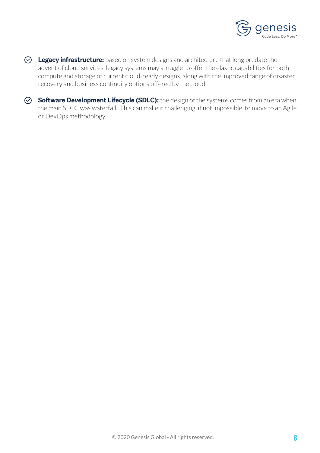

- **Legacy infrastructure:** based on system designs and architecture that long predate the advent of cloud services, legacy systems may struggle to offer the elastic capabilities for both compute and storage of current cloud-ready designs, along with the improved range of disaster recovery and business continuity options offered by the cloud.
- **Software Development Lifecycle (SDLC):** the design of the systems comes from an era when the main SDLC was waterfall. This can make it challenging, if not impossible, to move to an Agile or DevOps methodology.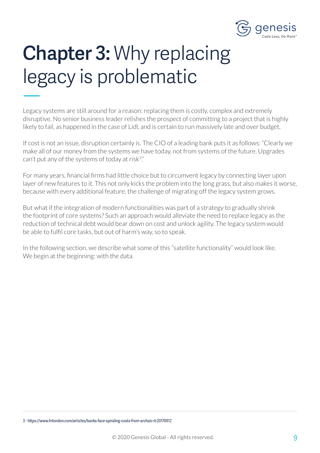

# **Chapter 3:** Why replacing legacy is problematic

Legacy systems are still around for a reason: replacing them is costly, complex and extremely disruptive. No senior business leader relishes the prospect of committing to a project that is highly likely to fail, as happened in the case of Lidl, and is certain to run massively late and over budget.

If cost is not an issue, disruption certainly is. The CIO of a leading bank puts it as follows: "Clearly we make all of our money from the systems we have today, not from systems of the future. Upgrades can't put any of the systems of today at risk<sup>3</sup>."

For many years, financial firms had little choice but to circumvent legacy by connecting layer upon layer of new features to it. This not only kicks the problem into the long grass, but also makes it worse, because with every additional feature, the challenge of migrating off the legacy system grows.

But what if the integration of modern functionalities was part of a strategy to gradually shrink the footprint of core systems? Such an approach would alleviate the need to replace legacy as the reduction of technical debt would bear down on cost and unlock agility. The legacy system would be able to fulfil core tasks, but out of harm's way, so to speak.

In the following section, we describe what some of this "satellite functionality" would look like. We begin at the beginning: with the data.

3 - https://www.fnlondon.com/articles/banks-face-spiraling-costs-from-archaic-it-20170912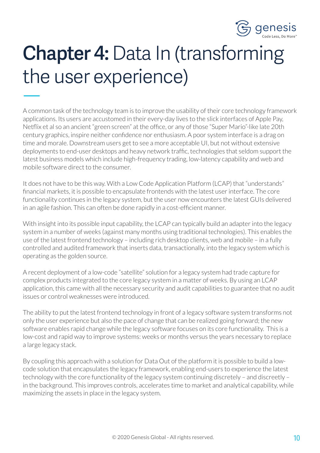

### **Chapter 4:** Data In (transforming the user experience)

A common task of the technology team is to improve the usability of their core technology framework applications. Its users are accustomed in their every-day lives to the slick interfaces of Apple Pay, Netflix et al so an ancient "green screen" at the office, or any of those "Super Mario"-like late 20th century graphics, inspire neither confidence nor enthusiasm. A poor system interface is a drag on time and morale. Downstream users get to see a more acceptable UI, but not without extensive deployments to end-user desktops and heavy network traffic, technologies that seldom support the latest business models which include high-frequency trading, low-latency capability and web and mobile software direct to the consumer.

It does not have to be this way. With a Low Code Application Platform (LCAP) that "understands" financial markets, it is possible to encapsulate frontends with the latest user interface. The core functionality continues in the legacy system, but the user now encounters the latest GUIs delivered in an agile fashion. This can often be done rapidly in a cost-efficient manner.

With insight into its possible input capability, the LCAP can typically build an adapter into the legacy system in a number of weeks (against many months using traditional technologies). This enables the use of the latest frontend technology – including rich desktop clients, web and mobile – in a fully controlled and audited framework that inserts data, transactionally, into the legacy system which is operating as the golden source.

A recent deployment of a low-code "satellite" solution for a legacy system had trade capture for complex products integrated to the core legacy system in a matter of weeks. By using an LCAP application, this came with all the necessary security and audit capabilities to guarantee that no audit issues or control weaknesses were introduced.

The ability to put the latest frontend technology in front of a legacy software system transforms not only the user experience but also the pace of change that can be realized going forward; the new software enables rapid change while the legacy software focuses on its core functionality. This is a low-cost and rapid way to improve systems: weeks or months versus the years necessary to replace a large legacy stack.

By coupling this approach with a solution for Data Out of the platform it is possible to build a lowcode solution that encapsulates the legacy framework, enabling end-users to experience the latest technology with the core functionality of the legacy system continuing discretely – and discreetly – in the background. This improves controls, accelerates time to market and analytical capability, while maximizing the assets in place in the legacy system.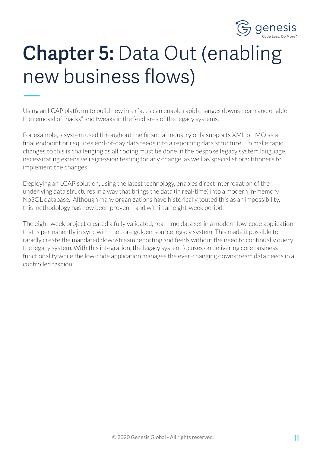

### **Chapter 5:** Data Out (enabling new business flows)

Using an LCAP platform to build new interfaces can enable rapid changes downstream and enable the removal of "hacks" and tweaks in the feed area of the legacy systems.

For example, a system used throughout the financial industry only supports XML on MQ as a final endpoint or requires end-of-day data feeds into a reporting data structure. To make rapid changes to this is challenging as all coding must be done in the bespoke legacy system language, necessitating extensive regression testing for any change, as well as specialist practitioners to implement the changes.

Deploying an LCAP solution, using the latest technology, enables direct interrogation of the underlying data structures in a way that brings the data (in real-time) into a modern in-memory NoSQL database. Although many organizations have historically touted this as an impossibility, this methodology has now been proven – and within an eight-week period.

The eight-week project created a fully validated, real-time data set in a modern low-code application that is permanently in sync with the core golden-source legacy system. This made it possible to rapidly create the mandated downstream reporting and feeds without the need to continually query the legacy system. With this integration, the legacy system focuses on delivering core business functionality while the low-code application manages the ever-changing downstream data needs in a controlled fashion.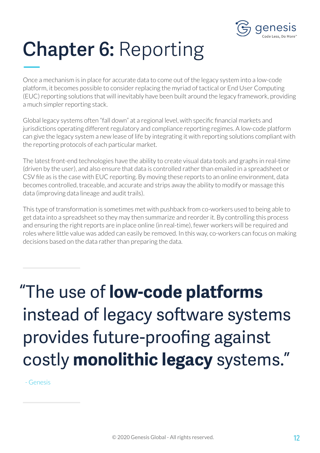

# **Chapter 6:** Reporting

Once a mechanism is in place for accurate data to come out of the legacy system into a low-code platform, it becomes possible to consider replacing the myriad of tactical or End User Computing (EUC) reporting solutions that will inevitably have been built around the legacy framework, providing a much simpler reporting stack.

Global legacy systems often "fall down" at a regional level, with specific financial markets and jurisdictions operating different regulatory and compliance reporting regimes. A low-code platform can give the legacy system a new lease of life by integrating it with reporting solutions compliant with the reporting protocols of each particular market.

The latest front-end technologies have the ability to create visual data tools and graphs in real-time (driven by the user), and also ensure that data is controlled rather than emailed in a spreadsheet or CSV file as is the case with EUC reporting. By moving these reports to an online environment, data becomes controlled, traceable, and accurate and strips away the ability to modify or massage this data (improving data lineage and audit trails).

This type of transformation is sometimes met with pushback from co-workers used to being able to get data into a spreadsheet so they may then summarize and reorder it. By controlling this process and ensuring the right reports are in place online (in real-time), fewer workers will be required and roles where little value was added can easily be removed. In this way, co-workers can focus on making decisions based on the data rather than preparing the data.

"The use of **low-code platforms**  instead of legacy software systems provides future-proofing against costly **monolithic legacy** systems."

- Genesis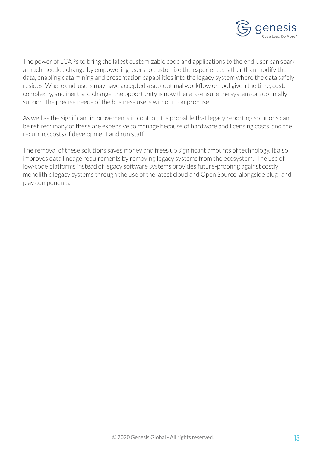

The power of LCAPs to bring the latest customizable code and applications to the end-user can spark a much-needed change by empowering users to customize the experience, rather than modify the data, enabling data mining and presentation capabilities into the legacy system where the data safely resides. Where end-users may have accepted a sub-optimal workflow or tool given the time, cost, complexity, and inertia to change, the opportunity is now there to ensure the system can optimally support the precise needs of the business users without compromise.

As well as the significant improvements in control, it is probable that legacy reporting solutions can be retired; many of these are expensive to manage because of hardware and licensing costs, and the recurring costs of development and run staff.

The removal of these solutions saves money and frees up significant amounts of technology. It also improves data lineage requirements by removing legacy systems from the ecosystem. The use of low-code platforms instead of legacy software systems provides future-proofing against costly monolithic legacy systems through the use of the latest cloud and Open Source, alongside plug- andplay components.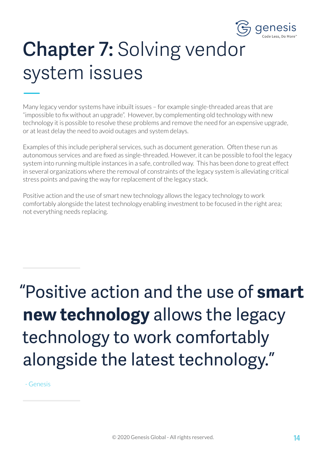

# **Chapter 7:** Solving vendor system issues

Many legacy vendor systems have inbuilt issues – for example single-threaded areas that are "impossible to fix without an upgrade". However, by complementing old technology with new technology it is possible to resolve these problems and remove the need for an expensive upgrade, or at least delay the need to avoid outages and system delays.

Examples of this include peripheral services, such as document generation. Often these run as autonomous services and are fixed as single-threaded. However, it can be possible to fool the legacy system into running multiple instances in a safe, controlled way. This has been done to great effect in several organizations where the removal of constraints of the legacy system is alleviating critical stress points and paving the way for replacement of the legacy stack.

Positive action and the use of smart new technology allows the legacy technology to work comfortably alongside the latest technology enabling investment to be focused in the right area; not everything needs replacing.

#### "Positive action and the use of **smart new technology** allows the legacy technology to work comfortably alongside the latest technology."

- Genesis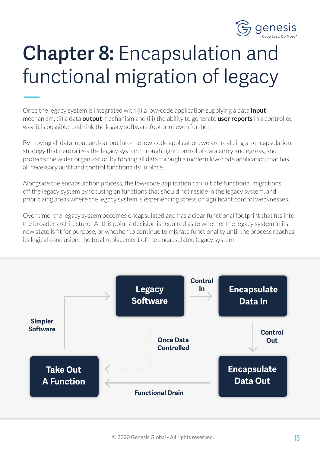

# **Chapter 8:** Encapsulation and functional migration of legacy

Once the legacy system is integrated with (i) a low-code application supplying a data **input**  mechanism; (ii) a data **output** mechanism and (iii) the ability to generate **user reports** in a controlled way, it is possible to shrink the legacy software footprint even further.

By moving all data input and output into the low-code application, we are realizing an encapsulation strategy that neutralizes the legacy system through tight control of data entry and egress, and protects the wider organization by forcing all data through a modern low-code application that has all necessary audit and control functionality in place.

Alongside the encapsulation process, the low-code application can initiate functional migrations off the legacy system by focusing on functions that should not reside in the legacy system, and prioritizing areas where the legacy system is experiencing stress or significant control weaknesses.

Over time, the legacy system becomes encapsulated and has a clear functional footprint that fits into the broader architecture. At this point a decision is required as to whether the legacy system in its new state is fit for purpose, or whether to continue to migrate functionality until the process reaches its logical conclusion: the total replacement of the encapsulated legacy system

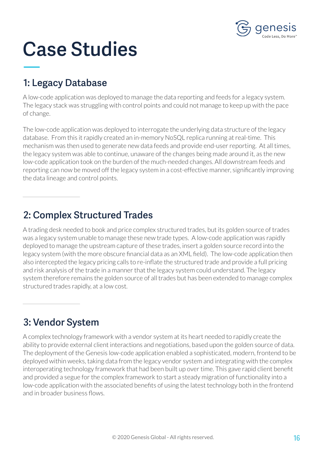

# **Case Studies**

#### **1: Legacy Database**

A low-code application was deployed to manage the data reporting and feeds for a legacy system. The legacy stack was struggling with control points and could not manage to keep up with the pace of change.

The low-code application was deployed to interrogate the underlying data structure of the legacy database. From this it rapidly created an in-memory NoSQL replica running at real-time. This mechanism was then used to generate new data feeds and provide end-user reporting. At all times, the legacy system was able to continue, unaware of the changes being made around it, as the new low-code application took on the burden of the much-needed changes. All downstream feeds and reporting can now be moved off the legacy system in a cost-effective manner, significantly improving the data lineage and control points.

#### **2: Complex Structured Trades**

A trading desk needed to book and price complex structured trades, but its golden source of trades was a legacy system unable to manage these new trade types. A low-code application was rapidly deployed to manage the upstream capture of these trades, insert a golden source record into the legacy system (with the more obscure financial data as an XML field). The low-code application then also intercepted the legacy pricing calls to re-inflate the structured trade and provide a full pricing and risk analysis of the trade in a manner that the legacy system could understand. The legacy system therefore remains the golden source of all trades but has been extended to manage complex structured trades rapidly, at a low cost.

#### **3: Vendor System**

A complex technology framework with a vendor system at its heart needed to rapidly create the ability to provide external client interactions and negotiations, based upon the golden source of data. The deployment of the Genesis low-code application enabled a sophisticated, modern, frontend to be deployed within weeks, taking data from the legacy vendor system and integrating with the complex interoperating technology framework that had been built up over time. This gave rapid client benefit and provided a segue for the complex framework to start a steady migration of functionality into a low-code application with the associated benefits of using the latest technology both in the frontend and in broader business flows.